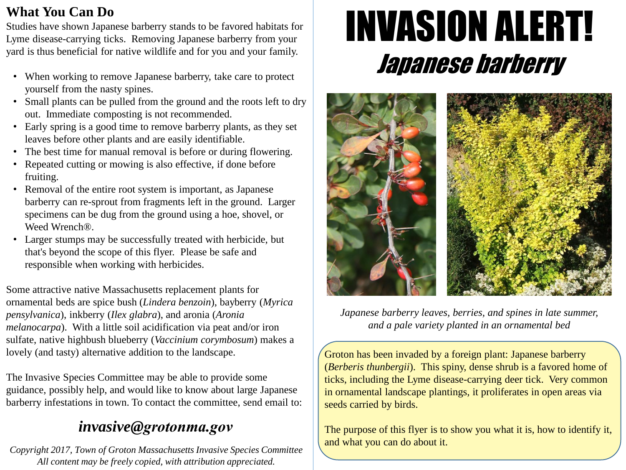### **What You Can Do**

Studies have shown Japanese barberry stands to be favored habitats for Lyme disease-carrying ticks. Removing Japanese barberry from your yard is thus beneficial for native wildlife and for you and your family.

- When working to remove Japanese barberry, take care to protect yourself from the nasty spines.
- Small plants can be pulled from the ground and the roots left to dry out. Immediate composting is not recommended.
- Early spring is a good time to remove barberry plants, as they set leaves before other plants and are easily identifiable.
- The best time for manual removal is before or during flowering.
- Repeated cutting or mowing is also effective, if done before fruiting.
- Removal of the entire root system is important, as Japanese barberry can re-sprout from fragments left in the ground. Larger specimens can be dug from the ground using a hoe, shovel, or Weed Wrench®.
- Larger stumps may be successfully treated with herbicide, but that's beyond the scope of this flyer. Please be safe and responsible when working with herbicides.

Some attractive native Massachusetts replacement plants for ornamental beds are spice bush (*Lindera benzoin*), bayberry (*Myrica pensylvanica*), inkberry (*Ilex glabra*), and aronia (*Aronia melanocarpa*). With a little soil acidification via peat and/or iron sulfate, native highbush blueberry (*Vaccinium corymbosum*) makes a lovely (and tasty) alternative addition to the landscape.

The Invasive Species Committee may be able to provide some guidance, possibly help, and would like to know about large Japanese barberry infestations in town. To contact the committee, send email to:

## *invasive@grotonma.gov*

*Copyright 2017, Town of Groton Massachusetts Invasive Species Committee All content may be freely copied, with attribution appreciated.*

# INVASION ALERT! Japanese barberry



*Japanese barberry leaves, berries, and spines in late summer, and a pale variety planted in an ornamental bed*

Groton has been invaded by a foreign plant: Japanese barberry (*Berberis thunbergii*). This spiny, dense shrub is a favored home of ticks, including the Lyme disease-carrying deer tick. Very common in ornamental landscape plantings, it proliferates in open areas via seeds carried by birds.

The purpose of this flyer is to show you what it is, how to identify it, and what you can do about it.